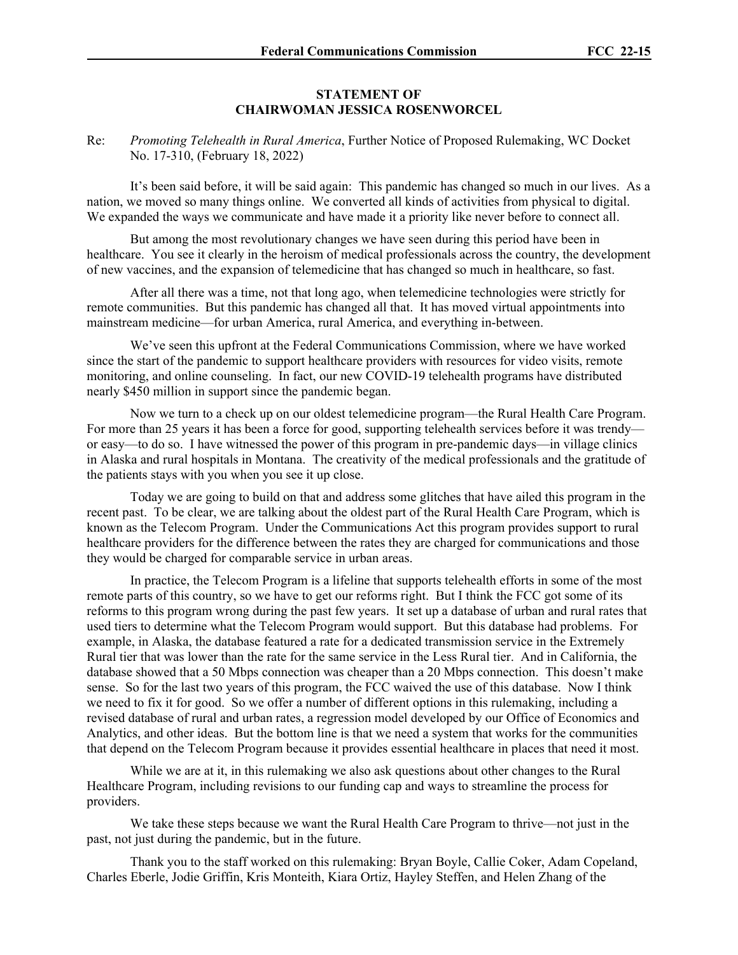## **STATEMENT OF CHAIRWOMAN JESSICA ROSENWORCEL**

Re: *Promoting Telehealth in Rural America*, Further Notice of Proposed Rulemaking, WC Docket No. 17-310, (February 18, 2022)

It's been said before, it will be said again: This pandemic has changed so much in our lives. As a nation, we moved so many things online. We converted all kinds of activities from physical to digital. We expanded the ways we communicate and have made it a priority like never before to connect all.

But among the most revolutionary changes we have seen during this period have been in healthcare. You see it clearly in the heroism of medical professionals across the country, the development of new vaccines, and the expansion of telemedicine that has changed so much in healthcare, so fast.

After all there was a time, not that long ago, when telemedicine technologies were strictly for remote communities. But this pandemic has changed all that. It has moved virtual appointments into mainstream medicine—for urban America, rural America, and everything in-between.

We've seen this upfront at the Federal Communications Commission, where we have worked since the start of the pandemic to support healthcare providers with resources for video visits, remote monitoring, and online counseling. In fact, our new COVID-19 telehealth programs have distributed nearly \$450 million in support since the pandemic began.

Now we turn to a check up on our oldest telemedicine program—the Rural Health Care Program. For more than 25 years it has been a force for good, supporting telehealth services before it was trendy or easy—to do so. I have witnessed the power of this program in pre-pandemic days—in village clinics in Alaska and rural hospitals in Montana. The creativity of the medical professionals and the gratitude of the patients stays with you when you see it up close.

Today we are going to build on that and address some glitches that have ailed this program in the recent past. To be clear, we are talking about the oldest part of the Rural Health Care Program, which is known as the Telecom Program. Under the Communications Act this program provides support to rural healthcare providers for the difference between the rates they are charged for communications and those they would be charged for comparable service in urban areas.

In practice, the Telecom Program is a lifeline that supports telehealth efforts in some of the most remote parts of this country, so we have to get our reforms right. But I think the FCC got some of its reforms to this program wrong during the past few years. It set up a database of urban and rural rates that used tiers to determine what the Telecom Program would support. But this database had problems. For example, in Alaska, the database featured a rate for a dedicated transmission service in the Extremely Rural tier that was lower than the rate for the same service in the Less Rural tier. And in California, the database showed that a 50 Mbps connection was cheaper than a 20 Mbps connection. This doesn't make sense. So for the last two years of this program, the FCC waived the use of this database. Now I think we need to fix it for good. So we offer a number of different options in this rulemaking, including a revised database of rural and urban rates, a regression model developed by our Office of Economics and Analytics, and other ideas. But the bottom line is that we need a system that works for the communities that depend on the Telecom Program because it provides essential healthcare in places that need it most.

While we are at it, in this rulemaking we also ask questions about other changes to the Rural Healthcare Program, including revisions to our funding cap and ways to streamline the process for providers.

We take these steps because we want the Rural Health Care Program to thrive—not just in the past, not just during the pandemic, but in the future.

Thank you to the staff worked on this rulemaking: Bryan Boyle, Callie Coker, Adam Copeland, Charles Eberle, Jodie Griffin, Kris Monteith, Kiara Ortiz, Hayley Steffen, and Helen Zhang of the